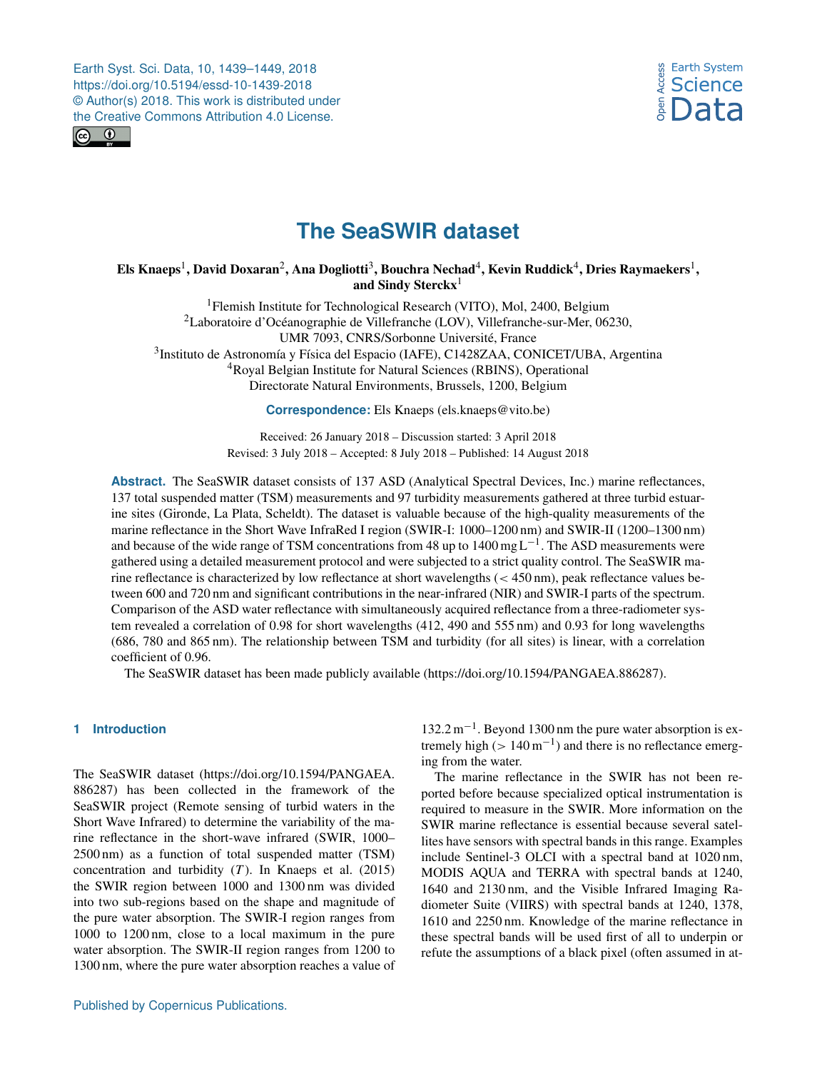<span id="page-0-1"></span>



# **The SeaSWIR dataset**

# Els Knaeps $^1$  $^1$ , David Doxaran $^2$  $^2$ , Ana Dogliotti $^3$  $^3$ , Bouchra Nechad $^4$  $^4$ , Kevin Ruddick $^4$ , Dries Raymaekers $^1,$ and Sindy Sterckx<sup>[1](#page-0-0)</sup>

<sup>1</sup> Flemish Institute for Technological Research (VITO), Mol, 2400, Belgium <sup>2</sup>Laboratoire d'Océanographie de Villefranche (LOV), Villefranche-sur-Mer, 06230, UMR 7093, CNRS/Sorbonne Université, France <sup>3</sup>Instituto de Astronomía y Física del Espacio (IAFE), C1428ZAA, CONICET/UBA, Argentina <sup>4</sup>Royal Belgian Institute for Natural Sciences (RBINS), Operational

Directorate Natural Environments, Brussels, 1200, Belgium

**Correspondence:** Els Knaeps (els.knaeps@vito.be)

Received: 26 January 2018 – Discussion started: 3 April 2018 Revised: 3 July 2018 – Accepted: 8 July 2018 – Published: 14 August 2018

**Abstract.** The SeaSWIR dataset consists of 137 ASD (Analytical Spectral Devices, Inc.) marine reflectances, 137 total suspended matter (TSM) measurements and 97 turbidity measurements gathered at three turbid estuarine sites (Gironde, La Plata, Scheldt). The dataset is valuable because of the high-quality measurements of the marine reflectance in the Short Wave InfraRed I region (SWIR-I: 1000–1200 nm) and SWIR-II (1200–1300 nm) and because of the wide range of TSM concentrations from 48 up to  $1400 \text{ mgL}^{-1}$ . The ASD measurements were gathered using a detailed measurement protocol and were subjected to a strict quality control. The SeaSWIR marine reflectance is characterized by low reflectance at short wavelengths (< 450 nm), peak reflectance values between 600 and 720 nm and significant contributions in the near-infrared (NIR) and SWIR-I parts of the spectrum. Comparison of the ASD water reflectance with simultaneously acquired reflectance from a three-radiometer system revealed a correlation of 0.98 for short wavelengths (412, 490 and 555 nm) and 0.93 for long wavelengths (686, 780 and 865 nm). The relationship between TSM and turbidity (for all sites) is linear, with a correlation coefficient of 0.96.

The SeaSWIR dataset has been made publicly available (https://doi.org[/10.1594/PANGAEA.886287\)](https://doi.org/10.1594/PANGAEA.886287).

# <span id="page-0-0"></span>**1 Introduction**

The SeaSWIR dataset [\(https://doi.org/10.1594/PANGAEA.](https://doi.org/10.1594/PANGAEA.886287) [886287\)](https://doi.org/10.1594/PANGAEA.886287) has been collected in the framework of the SeaSWIR project (Remote sensing of turbid waters in the Short Wave Infrared) to determine the variability of the marine reflectance in the short-wave infrared (SWIR, 1000– 2500 nm) as a function of total suspended matter (TSM) concentration and turbidity  $(T)$ . In Knaeps et al. (2015) the SWIR region between 1000 and 1300 nm was divided into two sub-regions based on the shape and magnitude of the pure water absorption. The SWIR-I region ranges from 1000 to 1200 nm, close to a local maximum in the pure water absorption. The SWIR-II region ranges from 1200 to 1300 nm, where the pure water absorption reaches a value of

132.2 m−<sup>1</sup> . Beyond 1300 nm the pure water absorption is extremely high ( $> 140 \,\mathrm{m}^{-1}$ ) and there is no reflectance emerging from the water.

The marine reflectance in the SWIR has not been reported before because specialized optical instrumentation is required to measure in the SWIR. More information on the SWIR marine reflectance is essential because several satellites have sensors with spectral bands in this range. Examples include Sentinel-3 OLCI with a spectral band at 1020 nm, MODIS AQUA and TERRA with spectral bands at 1240, 1640 and 2130 nm, and the Visible Infrared Imaging Radiometer Suite (VIIRS) with spectral bands at 1240, 1378, 1610 and 2250 nm. Knowledge of the marine reflectance in these spectral bands will be used first of all to underpin or refute the assumptions of a black pixel (often assumed in at-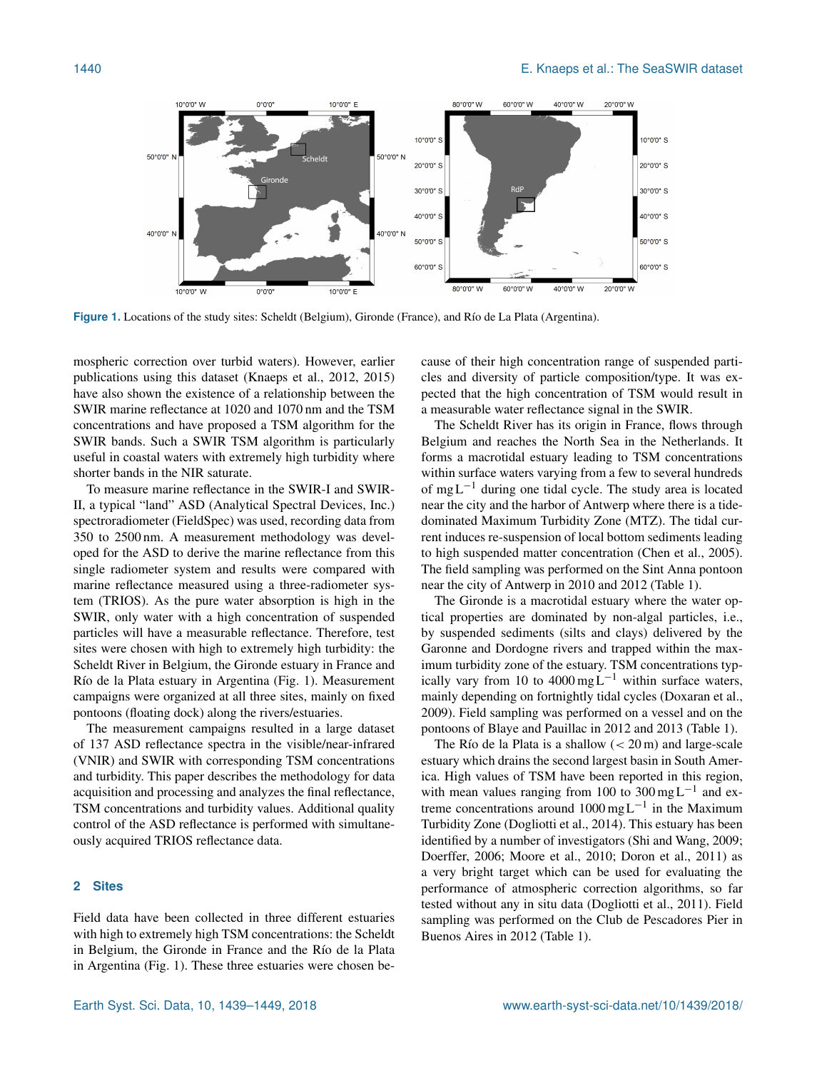

**Figure 1.** Locations of the study sites: Scheldt (Belgium), Gironde (France), and Río de La Plata (Argentina).

mospheric correction over turbid waters). However, earlier publications using this dataset (Knaeps et al., 2012, 2015) have also shown the existence of a relationship between the SWIR marine reflectance at 1020 and 1070 nm and the TSM concentrations and have proposed a TSM algorithm for the SWIR bands. Such a SWIR TSM algorithm is particularly useful in coastal waters with extremely high turbidity where shorter bands in the NIR saturate.

To measure marine reflectance in the SWIR-I and SWIR-II, a typical "land" ASD (Analytical Spectral Devices, Inc.) spectroradiometer (FieldSpec) was used, recording data from 350 to 2500 nm. A measurement methodology was developed for the ASD to derive the marine reflectance from this single radiometer system and results were compared with marine reflectance measured using a three-radiometer system (TRIOS). As the pure water absorption is high in the SWIR, only water with a high concentration of suspended particles will have a measurable reflectance. Therefore, test sites were chosen with high to extremely high turbidity: the Scheldt River in Belgium, the Gironde estuary in France and Río de la Plata estuary in Argentina (Fig. 1). Measurement campaigns were organized at all three sites, mainly on fixed pontoons (floating dock) along the rivers/estuaries.

The measurement campaigns resulted in a large dataset of 137 ASD reflectance spectra in the visible/near-infrared (VNIR) and SWIR with corresponding TSM concentrations and turbidity. This paper describes the methodology for data acquisition and processing and analyzes the final reflectance, TSM concentrations and turbidity values. Additional quality control of the ASD reflectance is performed with simultaneously acquired TRIOS reflectance data.

## **2 Sites**

Field data have been collected in three different estuaries with high to extremely high TSM concentrations: the Scheldt in Belgium, the Gironde in France and the Río de la Plata in Argentina (Fig. 1). These three estuaries were chosen because of their high concentration range of suspended particles and diversity of particle composition/type. It was expected that the high concentration of TSM would result in a measurable water reflectance signal in the SWIR.

The Scheldt River has its origin in France, flows through Belgium and reaches the North Sea in the Netherlands. It forms a macrotidal estuary leading to TSM concentrations within surface waters varying from a few to several hundreds of mg L−<sup>1</sup> during one tidal cycle. The study area is located near the city and the harbor of Antwerp where there is a tidedominated Maximum Turbidity Zone (MTZ). The tidal current induces re-suspension of local bottom sediments leading to high suspended matter concentration (Chen et al., 2005). The field sampling was performed on the Sint Anna pontoon near the city of Antwerp in 2010 and 2012 (Table 1).

The Gironde is a macrotidal estuary where the water optical properties are dominated by non-algal particles, i.e., by suspended sediments (silts and clays) delivered by the Garonne and Dordogne rivers and trapped within the maximum turbidity zone of the estuary. TSM concentrations typically vary from 10 to 4000 mg L<sup>-1</sup> within surface waters, mainly depending on fortnightly tidal cycles (Doxaran et al., 2009). Field sampling was performed on a vessel and on the pontoons of Blaye and Pauillac in 2012 and 2013 (Table 1).

The Río de la Plata is a shallow  $(< 20 \,\text{m})$  and large-scale estuary which drains the second largest basin in South America. High values of TSM have been reported in this region, with mean values ranging from 100 to 300 mg L<sup>-1</sup> and extreme concentrations around 1000 mg L−<sup>1</sup> in the Maximum Turbidity Zone (Dogliotti et al., 2014). This estuary has been identified by a number of investigators (Shi and Wang, 2009; Doerffer, 2006; Moore et al., 2010; Doron et al., 2011) as a very bright target which can be used for evaluating the performance of atmospheric correction algorithms, so far tested without any in situ data (Dogliotti et al., 2011). Field sampling was performed on the Club de Pescadores Pier in Buenos Aires in 2012 (Table 1).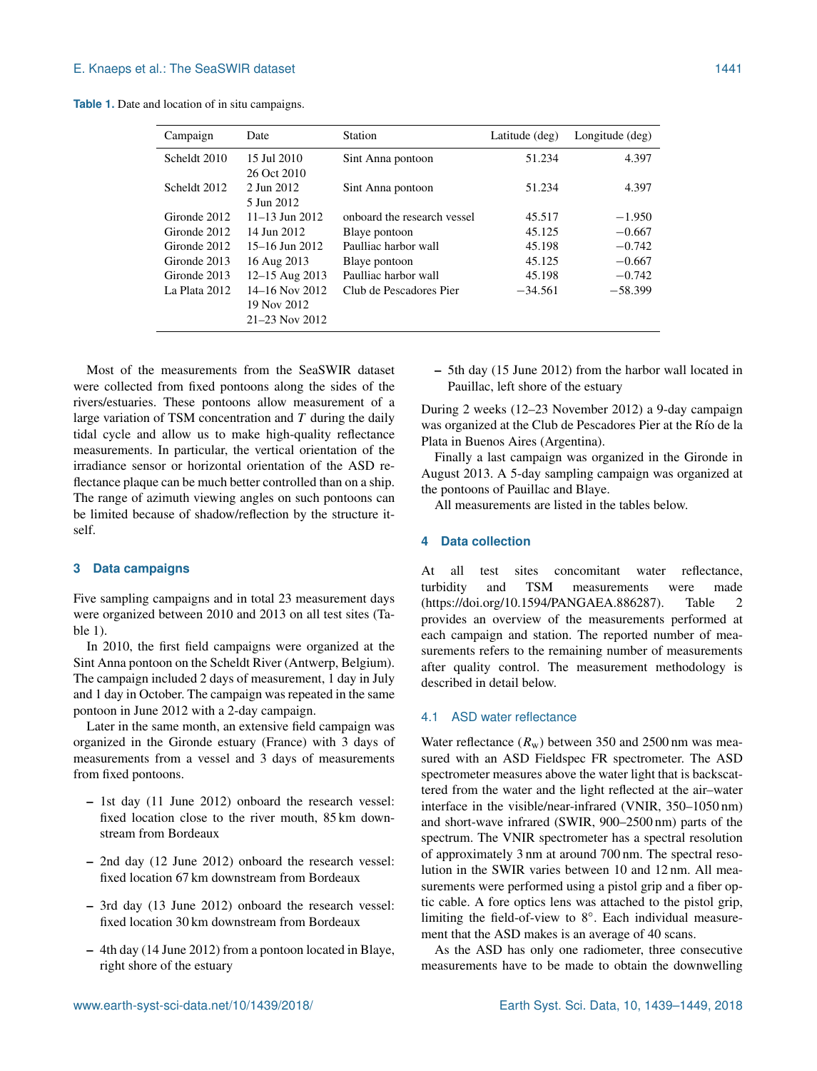**Table 1.** Date and location of in situ campaigns.

| Campaign      | Date                 | Station                     | Latitude (deg) | Longitude (deg) |
|---------------|----------------------|-----------------------------|----------------|-----------------|
| Scheldt 2010  | 15 Jul 2010          | Sint Anna pontoon           | 51.234         | 4.397           |
|               | 26 Oct 2010          |                             |                |                 |
| Scheldt 2012  | 2. Jun 2012          | Sint Anna pontoon           | 51.234         | 4.397           |
|               | 5 Jun 2012           |                             |                |                 |
| Gironde 2012  | $11-13$ Jun 2012     | onboard the research vessel | 45.517         | $-1.950$        |
| Gironde 2012  | 14 Jun 2012          | Blaye pontoon               | 45.125         | $-0.667$        |
| Gironde 2012  | $15-16$ Jun 2012     | Paulliac harbor wall        | 45.198         | $-0.742$        |
| Gironde 2013  | 16 Aug 2013          | Blaye pontoon               | 45.125         | $-0.667$        |
| Gironde 2013  | 12-15 Aug 2013       | Paulliac harbor wall        | 45.198         | $-0.742$        |
| La Plata 2012 | 14–16 Nov 2012       | Club de Pescadores Pier     | $-34.561$      | $-58.399$       |
|               | 19 Nov 2012          |                             |                |                 |
|               | $21 - 23$ Nov $2012$ |                             |                |                 |
|               |                      |                             |                |                 |

Most of the measurements from the SeaSWIR dataset were collected from fixed pontoons along the sides of the rivers/estuaries. These pontoons allow measurement of a large variation of TSM concentration and  $T$  during the daily tidal cycle and allow us to make high-quality reflectance measurements. In particular, the vertical orientation of the irradiance sensor or horizontal orientation of the ASD reflectance plaque can be much better controlled than on a ship. The range of azimuth viewing angles on such pontoons can be limited because of shadow/reflection by the structure itself.

#### **3 Data campaigns**

Five sampling campaigns and in total 23 measurement days were organized between 2010 and 2013 on all test sites (Table 1).

In 2010, the first field campaigns were organized at the Sint Anna pontoon on the Scheldt River (Antwerp, Belgium). The campaign included 2 days of measurement, 1 day in July and 1 day in October. The campaign was repeated in the same pontoon in June 2012 with a 2-day campaign.

Later in the same month, an extensive field campaign was organized in the Gironde estuary (France) with 3 days of measurements from a vessel and 3 days of measurements from fixed pontoons.

- 1st day (11 June 2012) onboard the research vessel: fixed location close to the river mouth, 85 km downstream from Bordeaux
- 2nd day (12 June 2012) onboard the research vessel: fixed location 67 km downstream from Bordeaux
- 3rd day (13 June 2012) onboard the research vessel: fixed location 30 km downstream from Bordeaux
- 4th day (14 June 2012) from a pontoon located in Blaye, right shore of the estuary

– 5th day (15 June 2012) from the harbor wall located in Pauillac, left shore of the estuary

During 2 weeks (12–23 November 2012) a 9-day campaign was organized at the Club de Pescadores Pier at the Río de la Plata in Buenos Aires (Argentina).

Finally a last campaign was organized in the Gironde in August 2013. A 5-day sampling campaign was organized at the pontoons of Pauillac and Blaye.

All measurements are listed in the tables below.

## **4 Data collection**

At all test sites concomitant water reflectance, turbidity and TSM measurements were made (https://doi.org[/10.1594/PANGAEA.886287\)](https://doi.org/10.1594/PANGAEA.886287). Table 2 provides an overview of the measurements performed at each campaign and station. The reported number of measurements refers to the remaining number of measurements after quality control. The measurement methodology is described in detail below.

## 4.1 ASD water reflectance

Water reflectance  $(R_w)$  between 350 and 2500 nm was measured with an ASD Fieldspec FR spectrometer. The ASD spectrometer measures above the water light that is backscattered from the water and the light reflected at the air–water interface in the visible/near-infrared (VNIR, 350–1050 nm) and short-wave infrared (SWIR, 900–2500 nm) parts of the spectrum. The VNIR spectrometer has a spectral resolution of approximately 3 nm at around 700 nm. The spectral resolution in the SWIR varies between 10 and 12 nm. All measurements were performed using a pistol grip and a fiber optic cable. A fore optics lens was attached to the pistol grip, limiting the field-of-view to 8°. Each individual measurement that the ASD makes is an average of 40 scans.

As the ASD has only one radiometer, three consecutive measurements have to be made to obtain the downwelling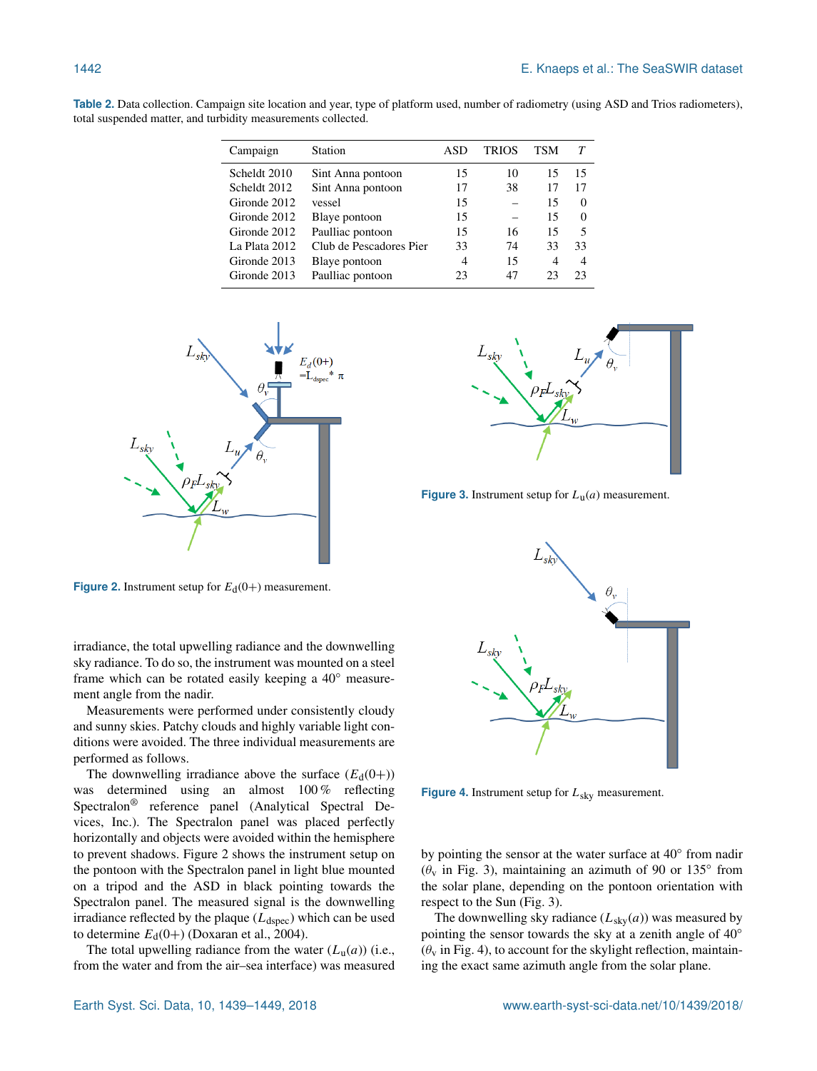**Table 2.** Data collection. Campaign site location and year, type of platform used, number of radiometry (using ASD and Trios radiometers), total suspended matter, and turbidity measurements collected.

| Campaign      | Station                 | ASD | TRIOS | TSM |                |
|---------------|-------------------------|-----|-------|-----|----------------|
| Scheldt 2010  | Sint Anna pontoon       | 15  | 10    | 15  | 15             |
| Scheldt 2012  | Sint Anna pontoon       | 17  | 38    | 17  | 17             |
| Gironde 2012  | vessel                  | 15  |       | 15  | $\Omega$       |
| Gironde 2012  | Blaye pontoon           | 15  |       | 15  | $\Omega$       |
| Gironde 2012  | Paulliac pontoon        | 15  | 16    | 15  | 5              |
| La Plata 2012 | Club de Pescadores Pier | 33  | 74    | 33  | 33             |
| Gironde 2013  | Blaye pontoon           | 4   | 15    | 4   | $\overline{4}$ |
| Gironde 2013  | Paulliac pontoon        | 23  | 47    | 23  | 23             |
|               |                         |     |       |     |                |



**Figure 2.** Instrument setup for  $E_d(0+)$  measurement.

irradiance, the total upwelling radiance and the downwelling sky radiance. To do so, the instrument was mounted on a steel frame which can be rotated easily keeping a 40◦ measurement angle from the nadir.

Measurements were performed under consistently cloudy and sunny skies. Patchy clouds and highly variable light conditions were avoided. The three individual measurements are performed as follows.

The downwelling irradiance above the surface  $(E_d(0+))$ was determined using an almost 100 % reflecting Spectralon® reference panel (Analytical Spectral Devices, Inc.). The Spectralon panel was placed perfectly horizontally and objects were avoided within the hemisphere to prevent shadows. Figure 2 shows the instrument setup on the pontoon with the Spectralon panel in light blue mounted on a tripod and the ASD in black pointing towards the Spectralon panel. The measured signal is the downwelling irradiance reflected by the plaque  $(L_{dspec})$  which can be used to determine  $E_d(0+)$  (Doxaran et al., 2004).

The total upwelling radiance from the water  $(L_u(a))$  (i.e., from the water and from the air–sea interface) was measured



**Figure 3.** Instrument setup for  $L_u(a)$  measurement.



**Figure 4.** Instrument setup for  $L_{sky}$  measurement.

by pointing the sensor at the water surface at 40° from nadir  $(\theta_v$  in Fig. 3), maintaining an azimuth of 90 or 135 $^{\circ}$  from the solar plane, depending on the pontoon orientation with respect to the Sun (Fig. 3).

The downwelling sky radiance  $(L_{\text{sky}}(a))$  was measured by pointing the sensor towards the sky at a zenith angle of 40◦  $(\theta_v$  in Fig. 4), to account for the skylight reflection, maintaining the exact same azimuth angle from the solar plane.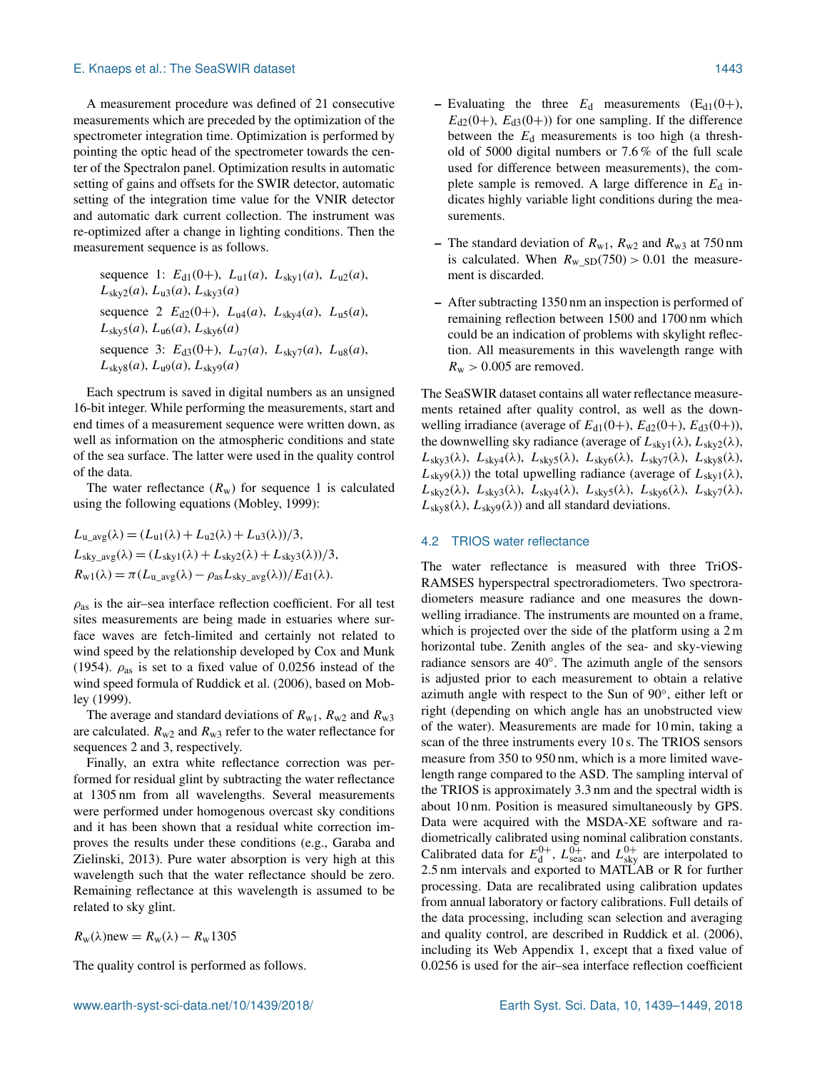A measurement procedure was defined of 21 consecutive measurements which are preceded by the optimization of the spectrometer integration time. Optimization is performed by pointing the optic head of the spectrometer towards the center of the Spectralon panel. Optimization results in automatic setting of gains and offsets for the SWIR detector, automatic setting of the integration time value for the VNIR detector and automatic dark current collection. The instrument was re-optimized after a change in lighting conditions. Then the measurement sequence is as follows.

sequence 1:  $E_{d1}(0+)$ ,  $L_{u1}(a)$ ,  $L_{sky1}(a)$ ,  $L_{u2}(a)$ ,  $L_{\rm sky2}(a)$ ,  $L_{\rm u3}(a)$ ,  $L_{\rm sky3}(a)$ sequence 2  $E_{d2}(0+)$ ,  $L_{u4}(a)$ ,  $L_{sky4}(a)$ ,  $L_{u5}(a)$ ,  $L_{\rm sky5}(a)$ ,  $L_{\rm u6}(a)$ ,  $L_{\rm sky6}(a)$ sequence 3:  $E_{d3}(0+)$ ,  $L_{u7}(a)$ ,  $L_{sky7}(a)$ ,  $L_{u8}(a)$ ,  $L_{\text{sky8}}(a)$ ,  $L_{\text{u9}}(a)$ ,  $L_{\text{sky9}}(a)$ 

Each spectrum is saved in digital numbers as an unsigned 16-bit integer. While performing the measurements, start and end times of a measurement sequence were written down, as well as information on the atmospheric conditions and state of the sea surface. The latter were used in the quality control of the data.

The water reflectance  $(R_w)$  for sequence 1 is calculated using the following equations (Mobley, 1999):

$$
L_{\mathbf{u}\_avg}(\lambda) = (L_{\mathbf{u}1}(\lambda) + L_{\mathbf{u}2}(\lambda) + L_{\mathbf{u}3}(\lambda))/3,
$$
  
\n
$$
L_{\text{sky}\_avg}(\lambda) = (L_{\text{sky}1}(\lambda) + L_{\text{sky}2}(\lambda) + L_{\text{sky}3}(\lambda))/3,
$$
  
\n
$$
R_{\mathbf{w}1}(\lambda) = \pi (L_{\mathbf{u}\_avg}(\lambda) - \rho_{\text{as}} L_{\text{sky}\_avg}(\lambda))/E_{\text{d}1}(\lambda).
$$

 $\rho_{\text{as}}$  is the air–sea interface reflection coefficient. For all test sites measurements are being made in estuaries where surface waves are fetch-limited and certainly not related to wind speed by the relationship developed by Cox and Munk (1954).  $\rho_{\text{as}}$  is set to a fixed value of 0.0256 instead of the wind speed formula of Ruddick et al. (2006), based on Mobley (1999).

The average and standard deviations of  $R_{w1}$ ,  $R_{w2}$  and  $R_{w3}$ are calculated.  $R_{w2}$  and  $R_{w3}$  refer to the water reflectance for sequences 2 and 3, respectively.

Finally, an extra white reflectance correction was performed for residual glint by subtracting the water reflectance at 1305 nm from all wavelengths. Several measurements were performed under homogenous overcast sky conditions and it has been shown that a residual white correction improves the results under these conditions (e.g., Garaba and Zielinski, 2013). Pure water absorption is very high at this wavelength such that the water reflectance should be zero. Remaining reflectance at this wavelength is assumed to be related to sky glint.

 $R_{\rm w}(\lambda)$ new =  $R_{\rm w}(\lambda) - R_{\rm w}1305$ 

The quality control is performed as follows.

- Evaluating the three  $E_d$  measurements (E<sub>d1</sub>(0+),  $E_{d2}(0+)$ ,  $E_{d3}(0+)$  for one sampling. If the difference between the  $E_d$  measurements is too high (a threshold of 5000 digital numbers or 7.6 % of the full scale used for difference between measurements), the complete sample is removed. A large difference in  $E_d$  indicates highly variable light conditions during the measurements.
- The standard deviation of  $R_{w1}$ ,  $R_{w2}$  and  $R_{w3}$  at 750 nm is calculated. When  $R_{\text{w\_SD}}(750) > 0.01$  the measurement is discarded.
- After subtracting 1350 nm an inspection is performed of remaining reflection between 1500 and 1700 nm which could be an indication of problems with skylight reflection. All measurements in this wavelength range with  $R_{\rm w} > 0.005$  are removed.

The SeaSWIR dataset contains all water reflectance measurements retained after quality control, as well as the downwelling irradiance (average of  $E_{d1}(0+)$ ,  $E_{d2}(0+)$ ,  $E_{d3}(0+)$ ), the downwelling sky radiance (average of  $L_{sky1}(\lambda)$ ,  $L_{sky2}(\lambda)$ ,  $L_{\rm sky3}(\lambda)$ ,  $L_{\rm sky4}(\lambda)$ ,  $L_{\rm sky5}(\lambda)$ ,  $L_{\rm sky6}(\lambda)$ ,  $L_{\rm sky7}(\lambda)$ ,  $L_{\rm sky8}(\lambda)$ ,  $L_{\text{sky9}}(\lambda)$ ) the total upwelling radiance (average of  $L_{\text{sky1}}(\lambda)$ ,  $L_{\rm sky2}(\lambda)$ ,  $L_{\rm sky3}(\lambda)$ ,  $L_{\rm sky4}(\lambda)$ ,  $L_{\rm sky5}(\lambda)$ ,  $L_{\rm sky6}(\lambda)$ ,  $L_{\rm sky7}(\lambda)$ ,  $L_{\text{sky8}}(\lambda)$ ,  $L_{\text{sky9}}(\lambda)$  and all standard deviations.

## 4.2 TRIOS water reflectance

The water reflectance is measured with three TriOS-RAMSES hyperspectral spectroradiometers. Two spectroradiometers measure radiance and one measures the downwelling irradiance. The instruments are mounted on a frame, which is projected over the side of the platform using a 2 m horizontal tube. Zenith angles of the sea- and sky-viewing radiance sensors are 40◦ . The azimuth angle of the sensors is adjusted prior to each measurement to obtain a relative azimuth angle with respect to the Sun of 90◦ , either left or right (depending on which angle has an unobstructed view of the water). Measurements are made for 10 min, taking a scan of the three instruments every 10 s. The TRIOS sensors measure from 350 to 950 nm, which is a more limited wavelength range compared to the ASD. The sampling interval of the TRIOS is approximately 3.3 nm and the spectral width is about 10 nm. Position is measured simultaneously by GPS. Data were acquired with the MSDA-XE software and radiometrically calibrated using nominal calibration constants. Calibrated data for  $E_d^{0+}$ ,  $L_{\text{sea}}^{0+}$ , and  $L_{\text{sky}}^{0+}$  are interpolated to 2.5 nm intervals and exported to MATLAB or R for further processing. Data are recalibrated using calibration updates from annual laboratory or factory calibrations. Full details of the data processing, including scan selection and averaging and quality control, are described in Ruddick et al. (2006), including its Web Appendix 1, except that a fixed value of 0.0256 is used for the air–sea interface reflection coefficient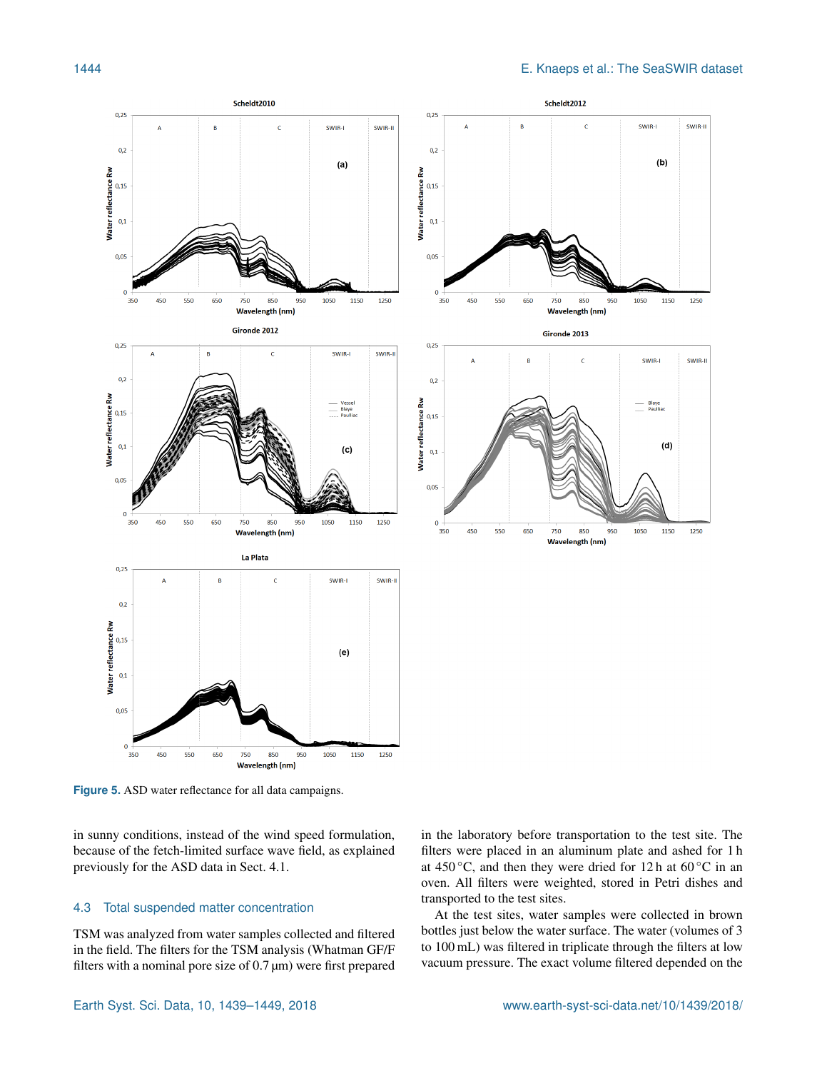

**Figure 5.** ASD water reflectance for all data campaigns.

in sunny conditions, instead of the wind speed formulation, because of the fetch-limited surface wave field, as explained previously for the ASD data in Sect. 4.1.

## 4.3 Total suspended matter concentration

TSM was analyzed from water samples collected and filtered in the field. The filters for the TSM analysis (Whatman GF/F filters with a nominal pore size of  $0.7 \,\text{\mu m}$ ) were first prepared in the laboratory before transportation to the test site. The filters were placed in an aluminum plate and ashed for 1 h at 450 °C, and then they were dried for 12 h at 60 °C in an oven. All filters were weighted, stored in Petri dishes and transported to the test sites.

At the test sites, water samples were collected in brown bottles just below the water surface. The water (volumes of 3 to 100 mL) was filtered in triplicate through the filters at low vacuum pressure. The exact volume filtered depended on the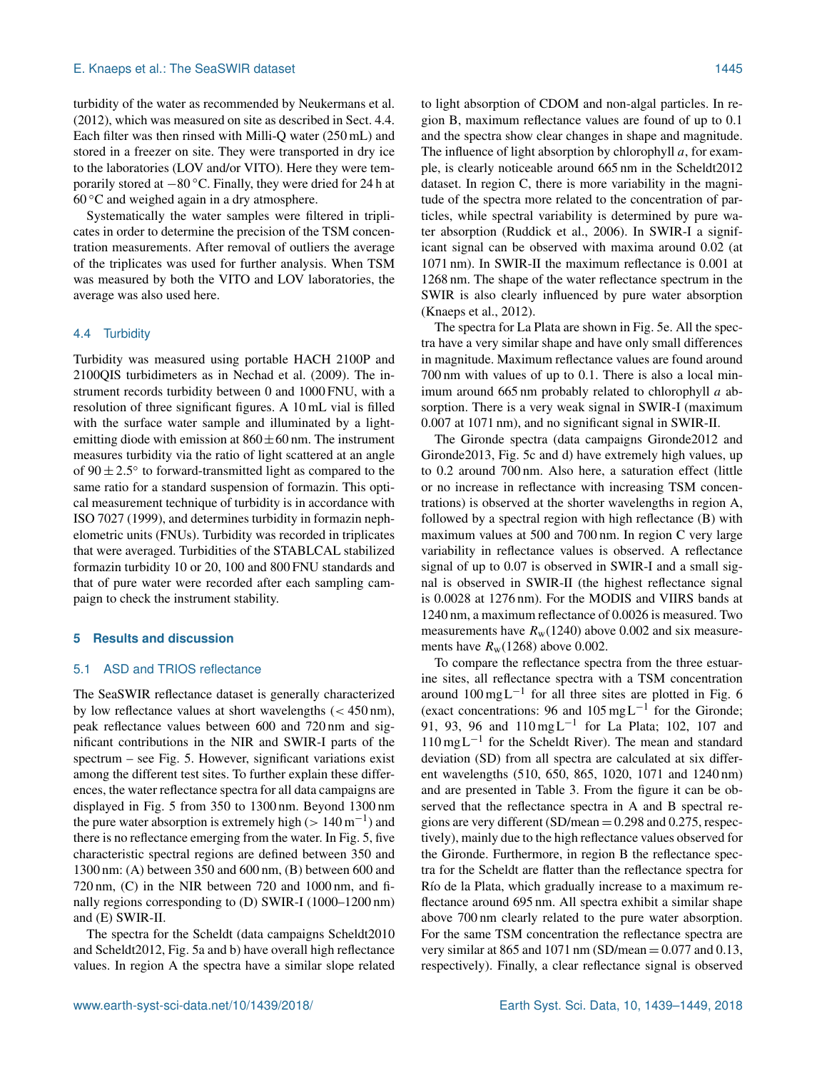turbidity of the water as recommended by Neukermans et al. (2012), which was measured on site as described in Sect. 4.4. Each filter was then rinsed with Milli-Q water (250 mL) and stored in a freezer on site. They were transported in dry ice to the laboratories (LOV and/or VITO). Here they were temporarily stored at −80 ◦C. Finally, they were dried for 24 h at  $60^{\circ}$ C and weighed again in a dry atmosphere.

Systematically the water samples were filtered in triplicates in order to determine the precision of the TSM concentration measurements. After removal of outliers the average of the triplicates was used for further analysis. When TSM was measured by both the VITO and LOV laboratories, the average was also used here.

## 4.4 Turbidity

Turbidity was measured using portable HACH 2100P and 2100QIS turbidimeters as in Nechad et al. (2009). The instrument records turbidity between 0 and 1000 FNU, with a resolution of three significant figures. A 10 mL vial is filled with the surface water sample and illuminated by a lightemitting diode with emission at  $860 \pm 60$  nm. The instrument measures turbidity via the ratio of light scattered at an angle of  $90 \pm 2.5^{\circ}$  to forward-transmitted light as compared to the same ratio for a standard suspension of formazin. This optical measurement technique of turbidity is in accordance with ISO 7027 (1999), and determines turbidity in formazin nephelometric units (FNUs). Turbidity was recorded in triplicates that were averaged. Turbidities of the STABLCAL stabilized formazin turbidity 10 or 20, 100 and 800 FNU standards and that of pure water were recorded after each sampling campaign to check the instrument stability.

#### **5 Results and discussion**

# 5.1 ASD and TRIOS reflectance

The SeaSWIR reflectance dataset is generally characterized by low reflectance values at short wavelengths  $( $450 \text{ nm}$ ),$ peak reflectance values between 600 and 720 nm and significant contributions in the NIR and SWIR-I parts of the spectrum – see Fig. 5. However, significant variations exist among the different test sites. To further explain these differences, the water reflectance spectra for all data campaigns are displayed in Fig. 5 from 350 to 1300 nm. Beyond 1300 nm the pure water absorption is extremely high ( $> 140 \,\mathrm{m}^{-1}$ ) and there is no reflectance emerging from the water. In Fig. 5, five characteristic spectral regions are defined between 350 and 1300 nm: (A) between 350 and 600 nm, (B) between 600 and 720 nm, (C) in the NIR between 720 and 1000 nm, and finally regions corresponding to (D) SWIR-I (1000–1200 nm) and (E) SWIR-II.

The spectra for the Scheldt (data campaigns Scheldt2010 and Scheldt2012, Fig. 5a and b) have overall high reflectance values. In region A the spectra have a similar slope related to light absorption of CDOM and non-algal particles. In region B, maximum reflectance values are found of up to 0.1 and the spectra show clear changes in shape and magnitude. The influence of light absorption by chlorophyll  $a$ , for example, is clearly noticeable around 665 nm in the Scheldt2012 dataset. In region C, there is more variability in the magnitude of the spectra more related to the concentration of particles, while spectral variability is determined by pure water absorption (Ruddick et al., 2006). In SWIR-I a significant signal can be observed with maxima around 0.02 (at 1071 nm). In SWIR-II the maximum reflectance is 0.001 at 1268 nm. The shape of the water reflectance spectrum in the SWIR is also clearly influenced by pure water absorption (Knaeps et al., 2012).

The spectra for La Plata are shown in Fig. 5e. All the spectra have a very similar shape and have only small differences in magnitude. Maximum reflectance values are found around 700 nm with values of up to 0.1. There is also a local minimum around 665 nm probably related to chlorophyll  $a$  absorption. There is a very weak signal in SWIR-I (maximum 0.007 at 1071 nm), and no significant signal in SWIR-II.

The Gironde spectra (data campaigns Gironde2012 and Gironde2013, Fig. 5c and d) have extremely high values, up to 0.2 around 700 nm. Also here, a saturation effect (little or no increase in reflectance with increasing TSM concentrations) is observed at the shorter wavelengths in region A, followed by a spectral region with high reflectance (B) with maximum values at 500 and 700 nm. In region C very large variability in reflectance values is observed. A reflectance signal of up to 0.07 is observed in SWIR-I and a small signal is observed in SWIR-II (the highest reflectance signal is 0.0028 at 1276 nm). For the MODIS and VIIRS bands at 1240 nm, a maximum reflectance of 0.0026 is measured. Two measurements have  $R_w(1240)$  above 0.002 and six measurements have  $R_w(1268)$  above 0.002.

To compare the reflectance spectra from the three estuarine sites, all reflectance spectra with a TSM concentration around  $100 \text{ mgL}^{-1}$  for all three sites are plotted in Fig. 6 (exact concentrations: 96 and 105 mg L−<sup>1</sup> for the Gironde; 91, 93, 96 and 110 mg L<sup>-1</sup> for La Plata; 102, 107 and 110 mg L−<sup>1</sup> for the Scheldt River). The mean and standard deviation (SD) from all spectra are calculated at six different wavelengths (510, 650, 865, 1020, 1071 and 1240 nm) and are presented in Table 3. From the figure it can be observed that the reflectance spectra in A and B spectral regions are very different (SD/mean  $= 0.298$  and 0.275, respectively), mainly due to the high reflectance values observed for the Gironde. Furthermore, in region B the reflectance spectra for the Scheldt are flatter than the reflectance spectra for Río de la Plata, which gradually increase to a maximum reflectance around 695 nm. All spectra exhibit a similar shape above 700 nm clearly related to the pure water absorption. For the same TSM concentration the reflectance spectra are very similar at 865 and 1071 nm (SD/mean  $= 0.077$  and 0.13, respectively). Finally, a clear reflectance signal is observed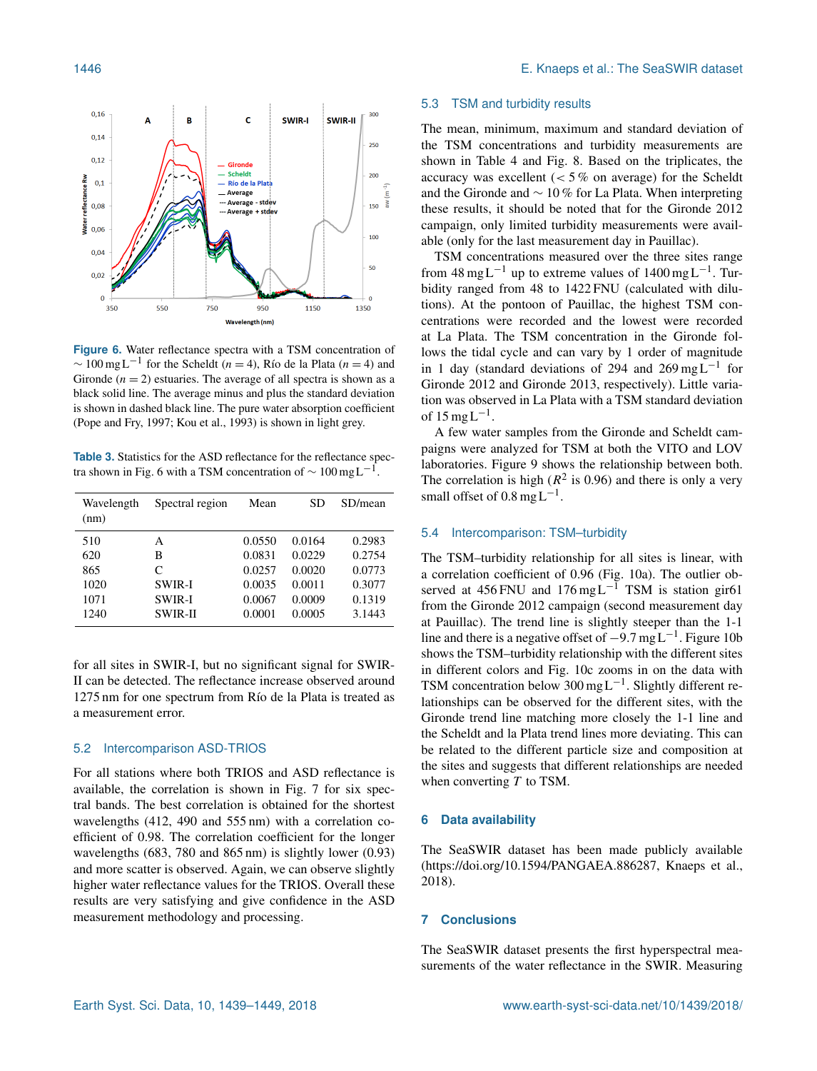

**Figure 6.** Water reflectance spectra with a TSM concentration of  $\sim 100 \text{ mgL}^{-1}$  for the Scheldt (*n* = 4), Río de la Plata (*n* = 4) and Gironde  $(n = 2)$  estuaries. The average of all spectra is shown as a black solid line. The average minus and plus the standard deviation is shown in dashed black line. The pure water absorption coefficient (Pope and Fry, 1997; Kou et al., 1993) is shown in light grey.

**Table 3.** Statistics for the ASD reflectance for the reflectance spectra shown in Fig. 6 with a TSM concentration of  $\sim 100 \text{ mg L}^{-1}$ .

| Wavelength<br>(nm) | Spectral region | Mean   | SD     | SD/mean |
|--------------------|-----------------|--------|--------|---------|
| 510                | А               | 0.0550 | 0.0164 | 0.2983  |
| 620                | В               | 0.0831 | 0.0229 | 0.2754  |
| 865                | C               | 0.0257 | 0.0020 | 0.0773  |
| 1020               | <b>SWIR-I</b>   | 0.0035 | 0.0011 | 0.3077  |
| 1071               | <b>SWIR-I</b>   | 0.0067 | 0.0009 | 0.1319  |
| 1240               | <b>SWIR-II</b>  | 0.0001 | 0.0005 | 3.1443  |

for all sites in SWIR-I, but no significant signal for SWIR-II can be detected. The reflectance increase observed around 1275 nm for one spectrum from Río de la Plata is treated as a measurement error.

#### 5.2 Intercomparison ASD-TRIOS

For all stations where both TRIOS and ASD reflectance is available, the correlation is shown in Fig. 7 for six spectral bands. The best correlation is obtained for the shortest wavelengths (412, 490 and 555 nm) with a correlation coefficient of 0.98. The correlation coefficient for the longer wavelengths (683, 780 and 865 nm) is slightly lower (0.93) and more scatter is observed. Again, we can observe slightly higher water reflectance values for the TRIOS. Overall these results are very satisfying and give confidence in the ASD measurement methodology and processing.

#### 5.3 TSM and turbidity results

The mean, minimum, maximum and standard deviation of the TSM concentrations and turbidity measurements are shown in Table 4 and Fig. 8. Based on the triplicates, the accuracy was excellent  $(< 5\%$  on average) for the Scheldt and the Gironde and ∼ 10 % for La Plata. When interpreting these results, it should be noted that for the Gironde 2012 campaign, only limited turbidity measurements were available (only for the last measurement day in Pauillac).

TSM concentrations measured over the three sites range from  $48 \text{ mg} \text{L}^{-1}$  up to extreme values of  $1400 \text{ mg} \text{L}^{-1}$ . Turbidity ranged from 48 to 1422 FNU (calculated with dilutions). At the pontoon of Pauillac, the highest TSM concentrations were recorded and the lowest were recorded at La Plata. The TSM concentration in the Gironde follows the tidal cycle and can vary by 1 order of magnitude in 1 day (standard deviations of 294 and 269 mg L<sup>-1</sup> for Gironde 2012 and Gironde 2013, respectively). Little variation was observed in La Plata with a TSM standard deviation of  $15 \text{ mgL}^{-1}$ .

A few water samples from the Gironde and Scheldt campaigns were analyzed for TSM at both the VITO and LOV laboratories. Figure 9 shows the relationship between both. The correlation is high ( $R^2$  is 0.96) and there is only a very small offset of  $0.8 \text{ mgL}^{-1}$ .

## 5.4 Intercomparison: TSM–turbidity

The TSM–turbidity relationship for all sites is linear, with a correlation coefficient of 0.96 (Fig. 10a). The outlier observed at 456 FNU and  $176 \text{ mg L}^{-1}$  TSM is station gir61 from the Gironde 2012 campaign (second measurement day at Pauillac). The trend line is slightly steeper than the 1-1 line and there is a negative offset of  $-9.7 \text{ mgL}^{-1}$ . Figure 10b shows the TSM–turbidity relationship with the different sites in different colors and Fig. 10c zooms in on the data with TSM concentration below 300 mg L−<sup>1</sup> . Slightly different relationships can be observed for the different sites, with the Gironde trend line matching more closely the 1-1 line and the Scheldt and la Plata trend lines more deviating. This can be related to the different particle size and composition at the sites and suggests that different relationships are needed when converting  $T$  to TSM.

## **6 Data availability**

The SeaSWIR dataset has been made publicly available [\(https://doi.org/10.1594/PANGAEA.886287,](https://doi.org/10.1594/PANGAEA.886287) Knaeps et al., 2018).

## **7 Conclusions**

The SeaSWIR dataset presents the first hyperspectral measurements of the water reflectance in the SWIR. Measuring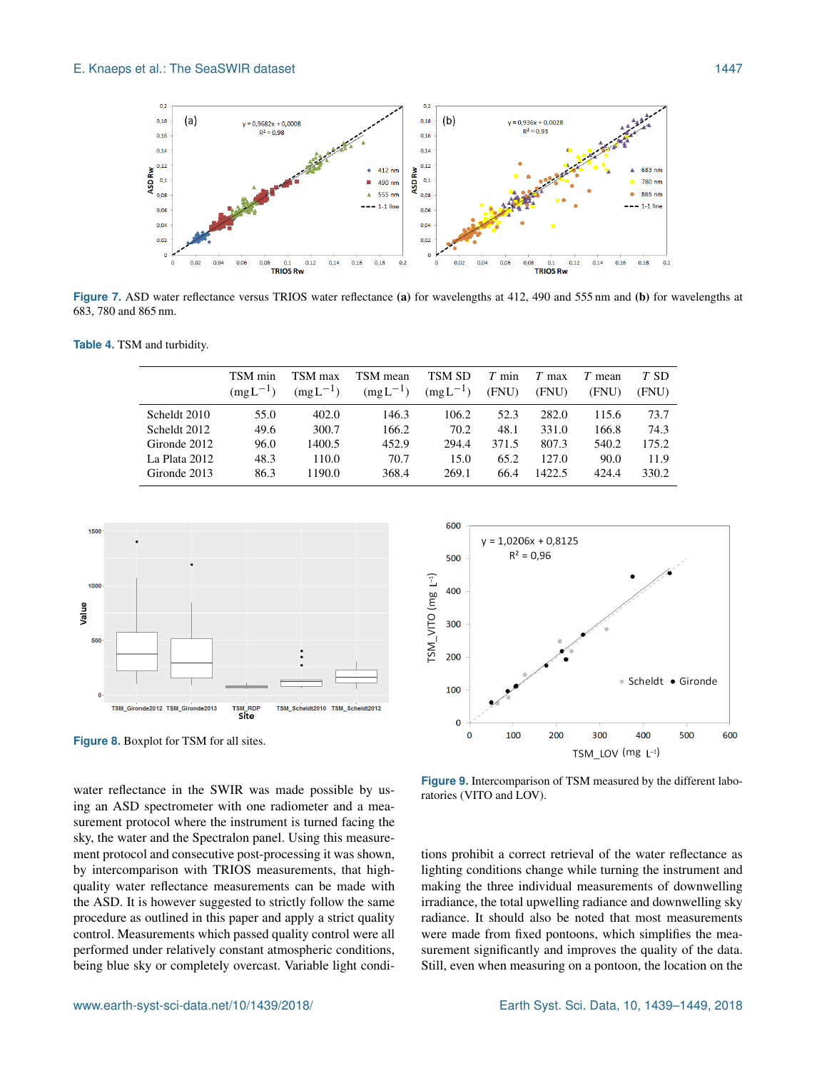

**Figure 7.** ASD water reflectance versus TRIOS water reflectance (a) for wavelengths at 412, 490 and 555 nm and (b) for wavelengths at 683, 780 and 865 nm.

**Table 4.** TSM and turbidity.

|                 | TSM min<br>$(mgL^{-1})$ | TSM max<br>$(mgL^{-1})$ | TSM mean<br>$(mgL^{-1})$ | TSM SD<br>$(mgL^{-1})$ | $T$ min<br>(FNU) | T<br>max<br>(FNU) | $T$ mean<br>(FNU) | T SD<br>(FNU) |
|-----------------|-------------------------|-------------------------|--------------------------|------------------------|------------------|-------------------|-------------------|---------------|
| Scheldt 2010    | 55.0                    | 402.0                   | 146.3                    | 106.2                  | 52.3             | 282.0             | 115.6             | 73.7          |
| Scheldt 2012    | 49.6                    | 300.7                   | 166.2                    | 70.2                   | 48.1             | 331.0             | 166.8             | 74.3          |
| Gironde 2012    | 96.0                    | 1400.5                  | 452.9                    | 294.4                  | 371.5            | 807.3             | 540.2             | 175.2         |
| La Plata $2012$ | 48.3                    | 110.0                   | 70.7                     | 15.0                   | 65.2             | 127.0             | 90.0              | 11.9          |
| Gironde 2013    | 86.3                    | 1190.0                  | 368.4                    | 269.1                  | 66.4             | 1422.5            | 424.4             | 330.2         |



**Figure 8.** Boxplot for TSM for all sites.



**Figure 9.** Intercomparison of TSM measured by the different laboratories (VITO and LOV).

ing an ASD spectrometer with one radiometer and a measurement protocol where the instrument is turned facing the sky, the water and the Spectralon panel. Using this measurement protocol and consecutive post-processing it was shown, by intercomparison with TRIOS measurements, that highquality water reflectance measurements can be made with the ASD. It is however suggested to strictly follow the same procedure as outlined in this paper and apply a strict quality control. Measurements which passed quality control were all performed under relatively constant atmospheric conditions, being blue sky or completely overcast. Variable light condi-

water reflectance in the SWIR was made possible by us-

tions prohibit a correct retrieval of the water reflectance as lighting conditions change while turning the instrument and making the three individual measurements of downwelling irradiance, the total upwelling radiance and downwelling sky radiance. It should also be noted that most measurements were made from fixed pontoons, which simplifies the measurement significantly and improves the quality of the data. Still, even when measuring on a pontoon, the location on the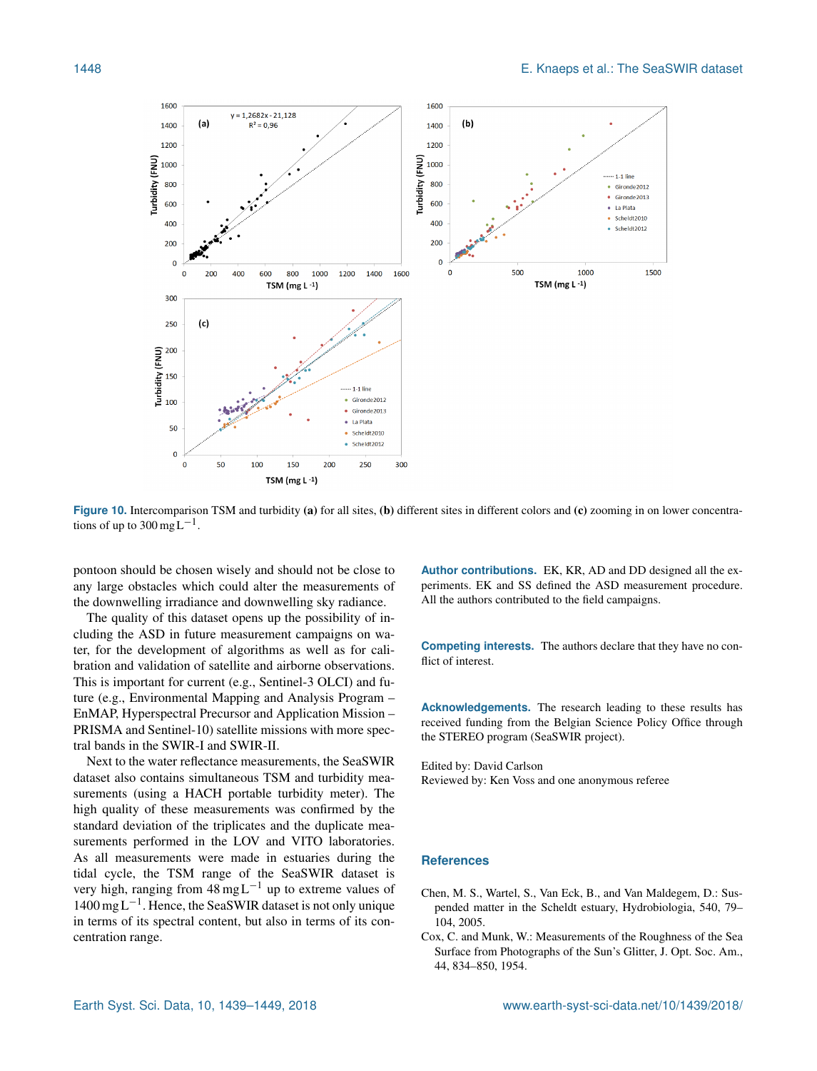

Figure 10. Intercomparison TSM and turbidity (a) for all sites, (b) different sites in different colors and (c) zooming in on lower concentrations of up to  $300 \text{ mgL}^{-1}$ .

pontoon should be chosen wisely and should not be close to any large obstacles which could alter the measurements of the downwelling irradiance and downwelling sky radiance.

The quality of this dataset opens up the possibility of including the ASD in future measurement campaigns on water, for the development of algorithms as well as for calibration and validation of satellite and airborne observations. This is important for current (e.g., Sentinel-3 OLCI) and future (e.g., Environmental Mapping and Analysis Program – EnMAP, Hyperspectral Precursor and Application Mission – PRISMA and Sentinel-10) satellite missions with more spectral bands in the SWIR-I and SWIR-II.

Next to the water reflectance measurements, the SeaSWIR dataset also contains simultaneous TSM and turbidity measurements (using a HACH portable turbidity meter). The high quality of these measurements was confirmed by the standard deviation of the triplicates and the duplicate measurements performed in the LOV and VITO laboratories. As all measurements were made in estuaries during the tidal cycle, the TSM range of the SeaSWIR dataset is very high, ranging from  $48 \text{ mgL}^{-1}$  up to extreme values of 1400 mg L−<sup>1</sup> . Hence, the SeaSWIR dataset is not only unique in terms of its spectral content, but also in terms of its concentration range.

**Author contributions.** EK, KR, AD and DD designed all the experiments. EK and SS defined the ASD measurement procedure. All the authors contributed to the field campaigns.

**Competing interests.** The authors declare that they have no conflict of interest.

**Acknowledgements.** The research leading to these results has received funding from the Belgian Science Policy Office through the STEREO program (SeaSWIR project).

Edited by: David Carlson Reviewed by: Ken Voss and one anonymous referee

## **References**

- Chen, M. S., Wartel, S., Van Eck, B., and Van Maldegem, D.: Suspended matter in the Scheldt estuary, Hydrobiologia, 540, 79– 104, 2005.
- Cox, C. and Munk, W.: Measurements of the Roughness of the Sea Surface from Photographs of the Sun's Glitter, J. Opt. Soc. Am., 44, 834–850, 1954.